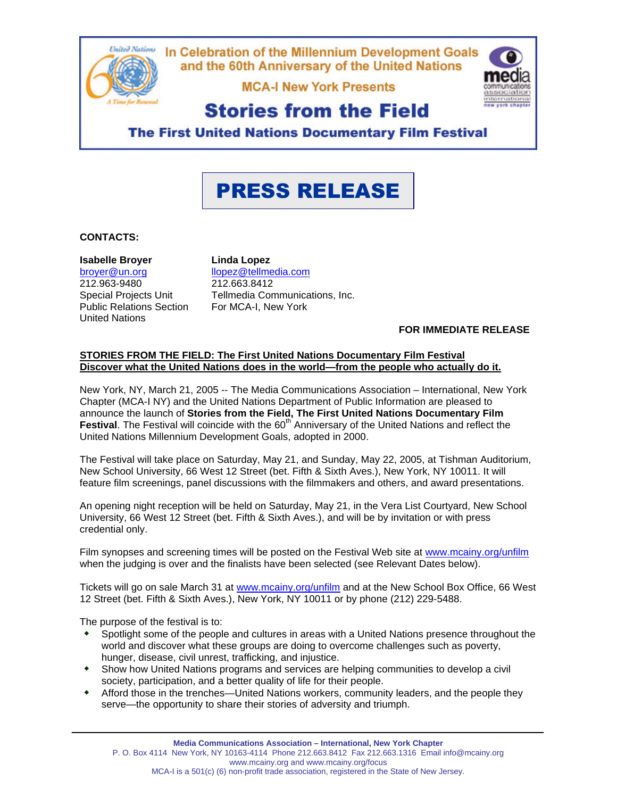

**MCA-I New York Presents** 



## **Stories from the Field**

**The First United Nations Documentary Film Festival** 

# PRESS RELEASE

#### **CONTACTS:**

#### **Isabelle Broyer**

[broyer@un.org](mailto:broyer@un.org) 212.963-9480 Special Projects Unit Public Relations Section United Nations

**Linda Lopez** [llopez@tellmedia.com](mailto:llopez@tellmedia.com) 212.663.8412 Tellmedia Communications, Inc. For MCA-I, New York

#### **FOR IMMEDIATE RELEASE**

#### **STORIES FROM THE FIELD: The First United Nations Documentary Film Festival Discover what the United Nations does in the world—from the people who actually do it.**

New York, NY, March 21, 2005 -- The Media Communications Association – International, New York Chapter (MCA-I NY) and the United Nations Department of Public Information are pleased to announce the launch of **Stories from the Field, The First United Nations Documentary Film Festival**. The Festival will coincide with the 60<sup>th</sup> Anniversary of the United Nations and reflect the United Nations Millennium Development Goals, adopted in 2000.

The Festival will take place on Saturday, May 21, and Sunday, May 22, 2005, at Tishman Auditorium, New School University, 66 West 12 Street (bet. Fifth & Sixth Aves.), New York, NY 10011. It will feature film screenings, panel discussions with the filmmakers and others, and award presentations.

An opening night reception will be held on Saturday, May 21, in the Vera List Courtyard, New School University, 66 West 12 Street (bet. Fifth & Sixth Aves.), and will be by invitation or with press credential only.

Film synopses and screening times will be posted on the Festival Web site at [www.mcainy.org/unfilm](http://www.mcainy.org/unfilm) when the judging is over and the finalists have been selected (see Relevant Dates below).

Tickets will go on sale March 31 at [www.mcainy.org/unfilm a](http://www.mcainy.org/unfilm)nd at the New School Box Office, 66 West 12 Street (bet. Fifth & Sixth Aves.), New York, NY 10011 or by phone (212) 229-5488.

The purpose of the festival is to:

- \* Spotlight some of the people and cultures in areas with a United Nations presence throughout the world and discover what these groups are doing to overcome challenges such as poverty, hunger, disease, civil unrest, trafficking, and injustice.
- Show how United Nations programs and services are helping communities to develop a civil society, participation, and a better quality of life for their people.
- Afford those in the trenches—United Nations workers, community leaders, and the people they serve—the opportunity to share their stories of adversity and triumph.